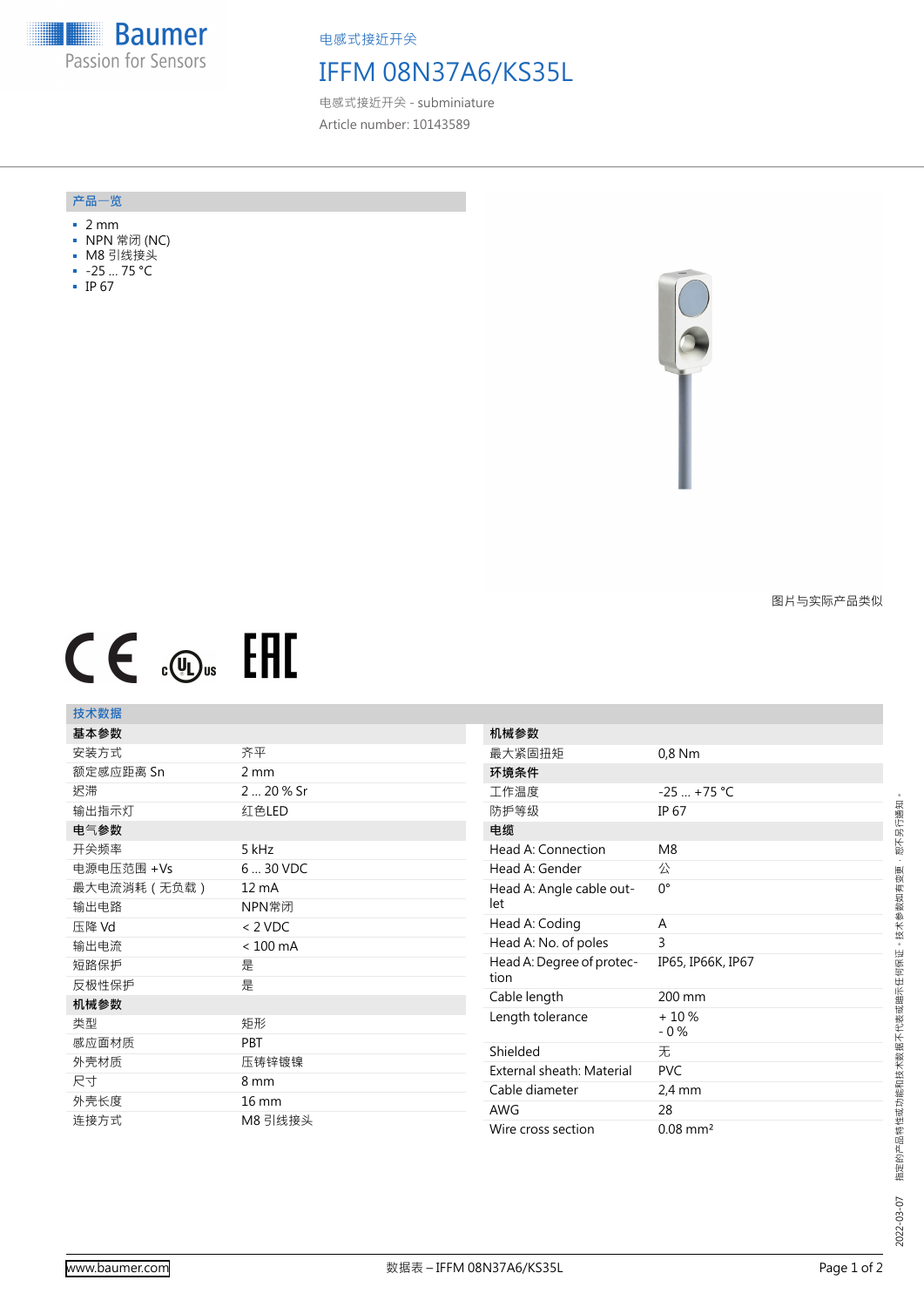**Baumer HEAD** Passion for Sensors

电感式接近开关

## IFFM 08N37A6/KS35L

电感式接近开关 - subminiature Article number: 10143589

## **产品**一**览**

- 2 mm
- NPN 常闭 (NC)
- M8 引线接头
- -25 … 75 °C
- IP 67



图片与实际产品类似

# $CE \mathcal{L}$  (Dus FHI

## **技术数据**

| 基本参数        |                    | 机械              |
|-------------|--------------------|-----------------|
| 安装方式        | 齐平                 | 最大              |
| 额定感应距离 Sn   | 2 mm               | 环境              |
| 迟滞          | 2  20 % Sr         | 工作              |
| 输出指示灯       | 红色LED              | 防护              |
| 电气参数        |                    | 电缆              |
| 开关频率        | 5 kHz              | Hea             |
| 电源电压范围 +Vs  | 6  30 VDC          | Hea             |
| 最大电流消耗(无负载) | $12 \text{ mA}$    | Hea             |
| 输出电路        | NPN常闭              | let             |
| 压降 Vd       | $< 2$ VDC          | Hea             |
| 输出电流        | $< 100 \text{ mA}$ | Hea             |
| 短路保护        | 是                  | Hea             |
| 反极性保护       | 是                  | tion            |
| 机械参数        |                    | Cab             |
| 类型          | 矩形                 | Leno            |
| 感应面材质       | <b>PBT</b>         | Shie            |
| 外壳材质        | 压铸锌镀镍              | Exte            |
| 尺寸          | 8 mm               | Cab             |
| 外壳长度        | 16 mm              | AW <sub>(</sub> |
| 连接方式        | M8 引线接头            | Wire            |
|             |                    |                 |

| 机械参数                              |                        |
|-----------------------------------|------------------------|
| 最大紧固扭矩                            | 0,8 Nm                 |
| 环境条件                              |                        |
| 工作温度                              | $-25$ +75 °C           |
| 防护等级                              | <b>IP 67</b>           |
| 电缆                                |                        |
| Head A: Connection                | M <sub>8</sub>         |
| Head A: Gender                    | 公                      |
| Head A: Angle cable out-<br>let   | 0°                     |
| Head A: Coding                    | A                      |
| Head A: No. of poles              | 3                      |
| Head A: Degree of protec-<br>tion | IP65, IP66K, IP67      |
| Cable length                      | 200 mm                 |
| Length tolerance                  | $+10%$<br>$-0\%$       |
| Shielded                          | 无                      |
| External sheath: Material         | <b>PVC</b>             |
| Cable diameter                    | $2.4 \text{ mm}$       |
| <b>AWG</b>                        | 28                     |
| Wire cross section                | $0.08$ mm <sup>2</sup> |